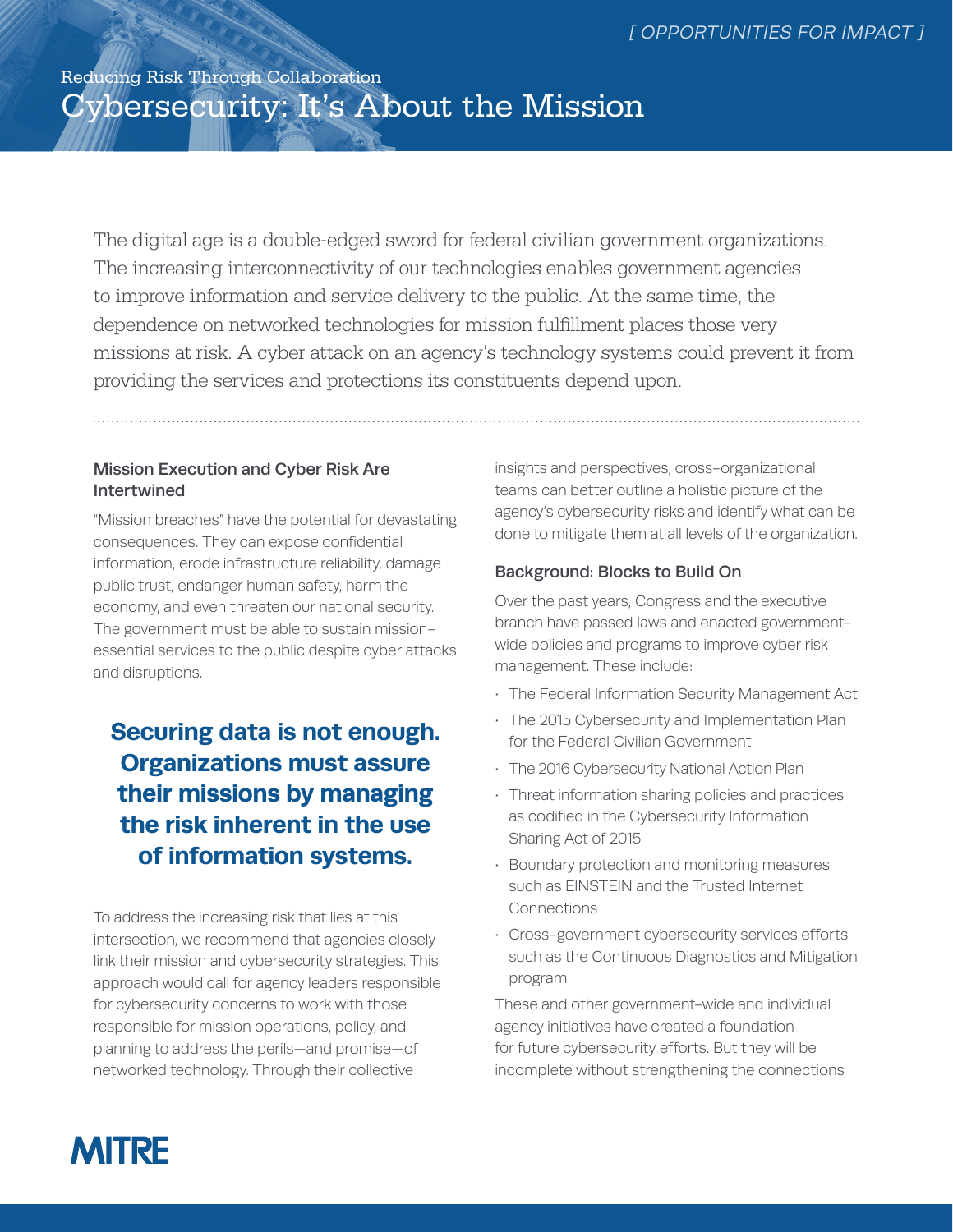# Reducing Risk Through Collaboration Cybersecurity: It's About the Mission

The digital age is a double-edged sword for federal civilian government organizations. The increasing interconnectivity of our technologies enables government agencies to improve information and service delivery to the public. At the same time, the dependence on networked technologies for mission fulfillment places those very missions at risk. A cyber attack on an agency's technology systems could prevent it from providing the services and protections its constituents depend upon.

# Mission Execution and Cyber Risk Are Intertwined

"Mission breaches" have the potential for devastating consequences. They can expose confidential information, erode infrastructure reliability, damage public trust, endanger human safety, harm the economy, and even threaten our national security. The government must be able to sustain missionessential services to the public despite cyber attacks and disruptions.

# **Securing data is not enough. Organizations must assure their missions by managing the risk inherent in the use of information systems.**

To address the increasing risk that lies at this intersection, we recommend that agencies closely link their mission and cybersecurity strategies. This approach would call for agency leaders responsible for cybersecurity concerns to work with those responsible for mission operations, policy, and planning to address the perils—and promise—of networked technology. Through their collective

insights and perspectives, cross-organizational teams can better outline a holistic picture of the agency's cybersecurity risks and identify what can be done to mitigate them at all levels of the organization.

# Background: Blocks to Build On

Over the past years, Congress and the executive branch have passed laws and enacted governmentwide policies and programs to improve cyber risk management. These include:

- The Federal Information Security Management Act
- The 2015 Cybersecurity and Implementation Plan for the Federal Civilian Government
- The 2016 Cybersecurity National Action Plan
- Threat information sharing policies and practices as codified in the Cybersecurity Information Sharing Act of 2015
- Boundary protection and monitoring measures such as EINSTEIN and the Trusted Internet Connections
- Cross-government cybersecurity services efforts such as the Continuous Diagnostics and Mitigation program

These and other government-wide and individual agency initiatives have created a foundation for future cybersecurity efforts. But they will be incomplete without strengthening the connections